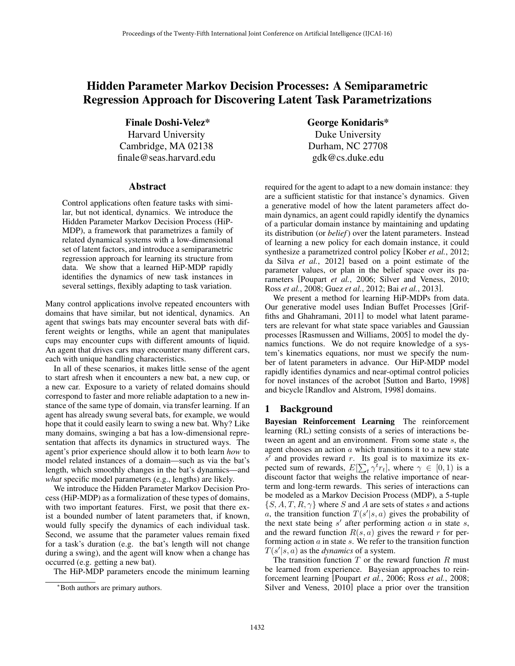# Hidden Parameter Markov Decision Processes: A Semiparametric Regression Approach for Discovering Latent Task Parametrizations

Finale Doshi-Velez\* Harvard University Cambridge, MA 02138 finale@seas.harvard.edu

#### Abstract

Control applications often feature tasks with similar, but not identical, dynamics. We introduce the Hidden Parameter Markov Decision Process (HiP-MDP), a framework that parametrizes a family of related dynamical systems with a low-dimensional set of latent factors, and introduce a semiparametric regression approach for learning its structure from data. We show that a learned HiP-MDP rapidly identifies the dynamics of new task instances in several settings, flexibly adapting to task variation.

Many control applications involve repeated encounters with domains that have similar, but not identical, dynamics. An agent that swings bats may encounter several bats with different weights or lengths, while an agent that manipulates cups may encounter cups with different amounts of liquid. An agent that drives cars may encounter many different cars, each with unique handling characteristics.

In all of these scenarios, it makes little sense of the agent to start afresh when it encounters a new bat, a new cup, or a new car. Exposure to a variety of related domains should correspond to faster and more reliable adaptation to a new instance of the same type of domain, via transfer learning. If an agent has already swung several bats, for example, we would hope that it could easily learn to swing a new bat. Why? Like many domains, swinging a bat has a low-dimensional representation that affects its dynamics in structured ways. The agent's prior experience should allow it to both learn *how* to model related instances of a domain—such as via the bat's length, which smoothly changes in the bat's dynamics—and *what* specific model parameters (e.g., lengths) are likely.

We introduce the Hidden Parameter Markov Decision Process (HiP-MDP) as a formalization of these types of domains, with two important features. First, we posit that there exist a bounded number of latent parameters that, if known, would fully specify the dynamics of each individual task. Second, we assume that the parameter values remain fixed for a task's duration (e.g. the bat's length will not change during a swing), and the agent will know when a change has occurred (e.g. getting a new bat).

The HiP-MDP parameters encode the minimum learning

George Konidaris\* Duke University Durham, NC 27708 gdk@cs.duke.edu

required for the agent to adapt to a new domain instance: they are a sufficient statistic for that instance's dynamics. Given a generative model of how the latent parameters affect domain dynamics, an agent could rapidly identify the dynamics of a particular domain instance by maintaining and updating its distribution (or *belief*) over the latent parameters. Instead of learning a new policy for each domain instance, it could synthesize a parametrized control policy [Kober *et al.*, 2012; da Silva *et al.*, 2012] based on a point estimate of the parameter values, or plan in the belief space over its parameters [Poupart *et al.*, 2006; Silver and Veness, 2010; Ross *et al.*, 2008; Guez *et al.*, 2012; Bai *et al.*, 2013].

We present a method for learning HiP-MDPs from data. Our generative model uses Indian Buffet Processes [Griffiths and Ghahramani, 2011] to model what latent parameters are relevant for what state space variables and Gaussian processes [Rasmussen and Williams, 2005] to model the dynamics functions. We do not require knowledge of a system's kinematics equations, nor must we specify the number of latent parameters in advance. Our HiP-MDP model rapidly identifies dynamics and near-optimal control policies for novel instances of the acrobot [Sutton and Barto, 1998] and bicycle [Randlov and Alstrom, 1998] domains.

### 1 Background

Bayesian Reinforcement Learning The reinforcement learning (RL) setting consists of a series of interactions between an agent and an environment. From some state *s*, the agent chooses an action *a* which transitions it to a new state  $s'$  and provides reward  $r$ . Its goal is to maximize its expected sum of rewards,  $E[\sum_{t} \gamma^{t} r_{t}]$ , where  $\gamma \in [0, 1)$  is a discount factor that weighs the relative importance of nearterm and long-term rewards. This series of interactions can be modeled as a Markov Decision Process (MDP), a 5-tuple  ${S, A, T, R, \gamma}$  where *S* and *A* are sets of states *s* and actions *a*, the transition function  $T(s'|s, a)$  gives the probability of the next state being  $s'$  after performing action  $a$  in state  $s$ , and the reward function  $R(s, a)$  gives the reward r for performing action *a* in state *s*. We refer to the transition function  $T(s'|s, a)$  as the *dynamics* of a system.

The transition function *T* or the reward function *R* must be learned from experience. Bayesian approaches to reinforcement learning [Poupart *et al.*, 2006; Ross *et al.*, 2008; Silver and Veness, 2010] place a prior over the transition

<sup>⇤</sup>Both authors are primary authors.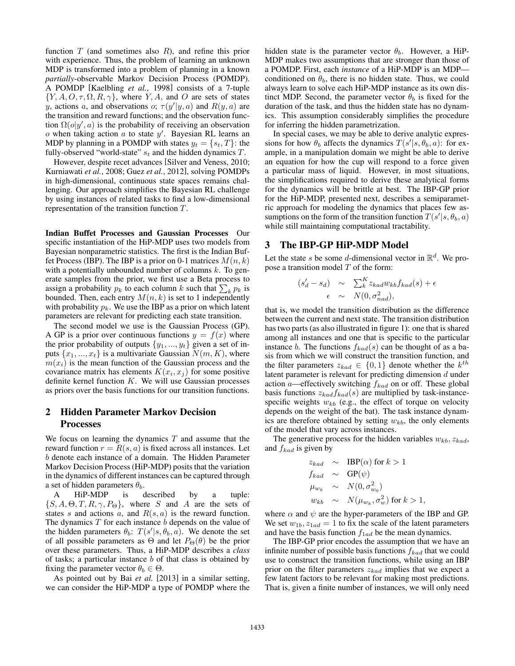function *T* (and sometimes also *R*), and refine this prior with experience. Thus, the problem of learning an unknown MDP is transformed into a problem of planning in a known *partially*-observable Markov Decision Process (POMDP). A POMDP [Kaelbling *et al.*, 1998] consists of a 7-tuple  $\{Y, A, O, \tau, \Omega, R, \gamma\}$ , where *Y, A,* and *O* are sets of states *y*, actions *a*, and observations *o*;  $\tau(y'|y, a)$  and  $R(y, a)$  are the transition and reward functions; and the observation function  $\Omega(o|y', a)$  is the probability of receiving an observation  $\alpha$  when taking action  $\alpha$  to state  $y'$ . Bayesian RL learns an MDP by planning in a POMDP with states  $y_t = \{s_t, T\}$ : the fully-observed "world-state" *s<sup>t</sup>* and the hidden dynamics *T*.

However, despite recet advances [Silver and Veness, 2010; Kurniawati *et al.*, 2008; Guez *et al.*, 2012], solving POMDPs in high-dimensional, continuous state spaces remains challenging. Our approach simplifies the Bayesian RL challenge by using instances of related tasks to find a low-dimensional representation of the transition function *T*.

Indian Buffet Processes and Gaussian Processes Our specific instantiation of the HiP-MDP uses two models from Bayesian nonparametric statistics. The first is the Indian Buffet Process (IBP). The IBP is a prior on 0-1 matrices  $M(n, k)$ with a potentially unbounded number of columns *k*. To generate samples from the prior, we first use a Beta process to assign a probability  $p_k$  to each column  $k$  such that  $\sum_k p_k$  is bounded. Then, each entry  $M(n, k)$  is set to 1 independently with probability  $p_k$ . We use the IBP as a prior on which latent parameters are relevant for predicting each state transition.

The second model we use is the Gaussian Process (GP). A GP is a prior over continuous functions  $y = f(x)$  where the prior probability of outputs  $\{y_1, ..., y_t\}$  given a set of inputs  $\{x_1, ..., x_t\}$  is a multivariate Gaussian  $N(m, K)$ , where  $m(x_i)$  is the mean function of the Gaussian process and the covariance matrix has elements  $K(x_i, x_j)$  for some positive definite kernel function *K*. We will use Gaussian processes as priors over the basis functions for our transition functions.

### 2 Hidden Parameter Markov Decision Processes

We focus on learning the dynamics *T* and assume that the reward function  $r = R(s, a)$  is fixed across all instances. Let *b* denote each instance of a domain. The Hidden Parameter Markov Decision Process (HiP-MDP) posits that the variation in the dynamics of different instances can be captured through a set of hidden parameters  $\theta_b$ .

A HiP-MDP is described by a tuple:  ${S, A, \Theta, T, R, \gamma, P_{\Theta}}$ , where *S* and *A* are the sets of states *s* and actions *a*, and *R*(*s, a*) is the reward function. The dynamics *T* for each instance *b* depends on the value of the hidden parameters  $\theta_b$ :  $T(s'|s, \theta_b, a)$ . We denote the set of all possible parameters as  $\Theta$  and let  $P_{\Theta}(\theta)$  be the prior over these parameters. Thus, a HiP-MDP describes a *class* of tasks; a particular instance *b* of that class is obtained by fixing the parameter vector  $\theta_b \in \Theta$ .

As pointed out by Bai *et al.* [2013] in a similar setting, we can consider the HiP-MDP a type of POMDP where the hidden state is the parameter vector  $\theta_b$ . However, a HiP-MDP makes two assumptions that are stronger than those of a POMDP. First, each *instance* of a HiP-MDP is an MDP conditioned on  $\theta_b$ , there is no hidden state. Thus, we could always learn to solve each HiP-MDP instance as its own distinct MDP. Second, the parameter vector  $\theta_b$  is fixed for the duration of the task, and thus the hidden state has no dynamics. This assumption considerably simplifies the procedure for inferring the hidden parametrization.

In special cases, we may be able to derive analytic expressions for how  $\theta_b$  affects the dynamics  $T(s'|s, \theta_b, a)$ : for example, in a manipulation domain we might be able to derive an equation for how the cup will respond to a force given a particular mass of liquid. However, in most situations, the simplifications required to derive these analytical forms for the dynamics will be brittle at best. The IBP-GP prior for the HiP-MDP, presented next, describes a semiparametric approach for modeling the dynamics that places few assumptions on the form of the transition function  $T(s'|s, \theta_b, a)$ while still maintaining computational tractability.

#### 3 The IBP-GP HiP-MDP Model

Let the state *s* be some *d*-dimensional vector in  $\mathbb{R}^d$ . We propose a transition model *T* of the form:

$$
\begin{array}{rcl}\n(s'_d - s_d) & \sim & \sum_{k}^{K} z_{kad} w_{kb} f_{kad}(s) + \epsilon \\
\epsilon & \sim & N(0, \sigma_{nad}^2),\n\end{array}
$$

that is, we model the transition distribution as the difference between the current and next state. The transition distribution has two parts (as also illustrated in figure 1): one that is shared among all instances and one that is specific to the particular instance *b*. The functions  $f_{kad}(s)$  can be thought of as a basis from which we will construct the transition function, and the filter parameters  $z_{kad} \in \{0,1\}$  denote whether the  $k^{th}$ latent parameter is relevant for predicting dimension *d* under action *a*—effectively switching *fkad* on or off. These global basis functions  $z_{kad}f_{kad}(s)$  are multiplied by task-instancespecific weights  $w_{kb}$  (e.g., the effect of torque on velocity depends on the weight of the bat). The task instance dynamics are therefore obtained by setting  $w_{kb}$ , the only elements of the model that vary across instances.

The generative process for the hidden variables  $w_{kb}$ ,  $z_{kad}$ , and *fkad* is given by

$$
z_{kad} \sim \text{IBP}(\alpha) \text{ for } k > 1
$$
  
\n
$$
f_{kad} \sim \text{GP}(\psi)
$$
  
\n
$$
\mu_{w_k} \sim N(0, \sigma_{w_0}^2)
$$
  
\n
$$
w_{kb} \sim N(\mu_{w_k}, \sigma_w^2) \text{ for } k > 1,
$$

where  $\alpha$  and  $\psi$  are the hyper-parameters of the IBP and GP. We set  $w_{1b}$ ,  $z_{1ad} = 1$  to fix the scale of the latent parameters and have the basis function  $f_{1ad}$  be the mean dynamics.

The IBP-GP prior encodes the assumption that we have an infinite number of possible basis functions *fkad* that we could use to construct the transition functions, while using an IBP prior on the filter parameters *zkad* implies that we expect a few latent factors to be relevant for making most predictions. That is, given a finite number of instances, we will only need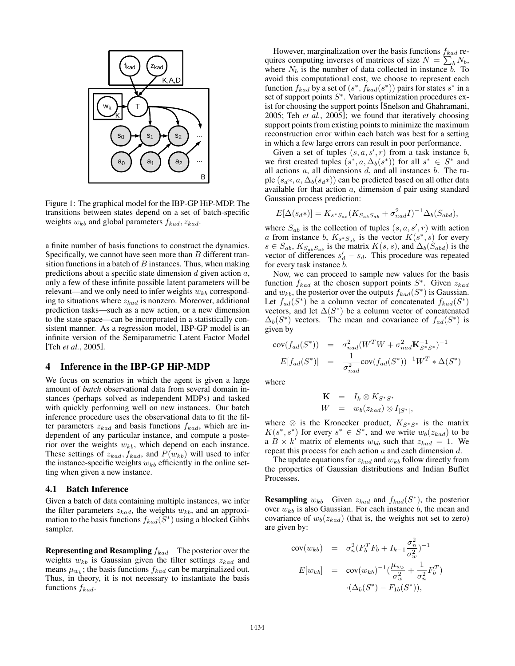

Figure 1: The graphical model for the IBP-GP HiP-MDP. The transitions between states depend on a set of batch-specific weights  $w_{kb}$  and global parameters  $f_{kad}$ ,  $z_{kad}$ .

a finite number of basis functions to construct the dynamics. Specifically, we cannot have seen more than *B* different transition functions in a batch of *B* instances. Thus, when making predictions about a specific state dimension *d* given action *a*, only a few of these infinite possible latent parameters will be relevant—and we only need to infer weights  $w_{kb}$  corresponding to situations where *zkad* is nonzero. Moreover, additional prediction tasks—such as a new action, or a new dimension to the state space—can be incorporated in a statistically consistent manner. As a regression model, IBP-GP model is an infinite version of the Semiparametric Latent Factor Model [Teh *et al.*, 2005].

#### 4 Inference in the IBP-GP HiP-MDP

We focus on scenarios in which the agent is given a large amount of *batch* observational data from several domain instances (perhaps solved as independent MDPs) and tasked with quickly performing well on new instances. Our batch inference procedure uses the observational data to fit the filter parameters  $z_{kad}$  and basis functions  $f_{kad}$ , which are independent of any particular instance, and compute a posterior over the weights  $w_{kb}$ , which depend on each instance. These settings of  $z_{kad}$ ,  $f_{kad}$ , and  $P(w_{kb})$  will used to infer the instance-specific weights  $w_{kb}$  efficiently in the online setting when given a new instance.

#### 4.1 Batch Inference

Given a batch of data containing multiple instances, we infer the filter parameters  $z_{kad}$ , the weights  $w_{kb}$ , and an approximation to the basis functions  $f_{kad}(S^*)$  using a blocked Gibbs sampler.

Representing and Resampling *fkad* The posterior over the weights *wkb* is Gaussian given the filter settings *zkad* and means  $\mu_{w_k}$ ; the basis functions  $f_{kad}$  can be marginalized out. Thus, in theory, it is not necessary to instantiate the basis functions *fkad*.

However, marginalization over the basis functions *fkad* requires computing inverses of matrices of size  $N = \sum_{b}^{N} N_b$ , where  $N_b$  is the number of data collected in instance  $b$ . To avoid this computational cost, we choose to represent each function  $f_{kad}$  by a set of  $(s^*, f_{kad}(s^*))$  pairs for states  $s^*$  in a set of support points  $S^*$ . Various optimization procedures exist for choosing the support points [Snelson and Ghahramani, 2005; Teh *et al.*, 2005]; we found that iteratively choosing support points from existing points to minimize the maximum reconstruction error within each batch was best for a setting in which a few large errors can result in poor performance.

Given a set of tuples  $(s, a, s', r)$  from a task instance *b*, we first created tuples  $(s^*, a, \Delta_b(s^*))$  for all  $s^* \in S^*$  and all actions *a*, all dimensions *d*, and all instances *b*. The tuple  $(s_d*, a, \Delta_b(s_d*))$  can be predicted based on all other data available for that action *a*, dimension *d* pair using standard Gaussian process prediction:

$$
E[\Delta(s_d*)] = K_{s^*S_{ab}}(K_{S_{ab}S_{ab}} + \sigma_{nad}^2 I)^{-1} \Delta_b(S_{abd}),
$$

where  $S_{ab}$  is the collection of tuples  $(s, a, s', r)$  with action *a* from instance *b*,  $K_{s^*S_{ab}}$  is the vector  $K(s^*, s)$  for every  $s \in S_{ab}$ ,  $K_{S_{ab}S_{ab}}$  is the matrix  $K(s, s)$ , and  $\Delta_b(S_{abd})$  is the vector of differences  $s_d' - s_d$ . This procedure was repeated for every task instance *b*.

Now, we can proceed to sample new values for the basis function  $f_{kad}$  at the chosen support points  $S^*$ . Given  $z_{kad}$ and  $w_{kb}$ , the posterior over the outputs  $f_{kad}(S^*)$  is Gaussian. Let  $f_{ad}(S^*)$  be a column vector of concatenated  $f_{kad}(S^*)$ vectors, and let  $\Delta(S^*)$  be a column vector of concatenated  $\Delta_b(S^*)$  vectors. The mean and covariance of  $f_{ad}(S^*)$  is given by

$$
\text{cov}(f_{ad}(S^*)) = \sigma_{nad}^2 (W^T W + \sigma_{nad}^2 \mathbf{K}_{S^*S^*}^{-1})^{-1}
$$
  

$$
E[f_{ad}(S^*)] = \frac{1}{\sigma_{nad}^2} \text{cov}(f_{ad}(S^*))^{-1} W^T * \Delta(S^*)
$$

where

$$
\begin{array}{rcl}\n\mathbf{K} & = & I_k \otimes K_{S^*S^*} \\
W & = & w_b(z_{kad}) \otimes I_{|S^*|},\n\end{array}
$$

where  $\otimes$  is the Kronecker product,  $K_{S^*S^*}$  is the matrix  $K(s^*, s^*)$  for every  $s^* \in S^*$ , and we write  $w_b(z_{kad})$  to be a  $B \times k'$  matrix of elements  $w_{kb}$  such that  $z_{kad} = 1$ . We repeat this process for each action *a* and each dimension *d*.

The update equations for *zkad* and *wkb* follow directly from the properties of Gaussian distributions and Indian Buffet Processes.

**Resampling**  $w_{kb}$  Given  $z_{kad}$  and  $f_{kad}(S^*)$ , the posterior over  $w_{kb}$  is also Gaussian. For each instance  $b$ , the mean and covariance of  $w_b(z_{kad})$  (that is, the weights not set to zero) are given by:

$$
\begin{array}{rcl}\n\text{cov}(w_{kb}) & = & \sigma_n^2 (F_b^T F_b + I_{k-1} \frac{\sigma_n^2}{\sigma_w^2})^{-1} \\
E[w_{kb}] & = & \text{cov}(w_{kb})^{-1} \left( \frac{\mu_{w_k}}{\sigma_w^2} + \frac{1}{\sigma_n^2} F_b^T \right) \\
& \cdot (\Delta_b(S^*) - F_{1b}(S^*)),\n\end{array}
$$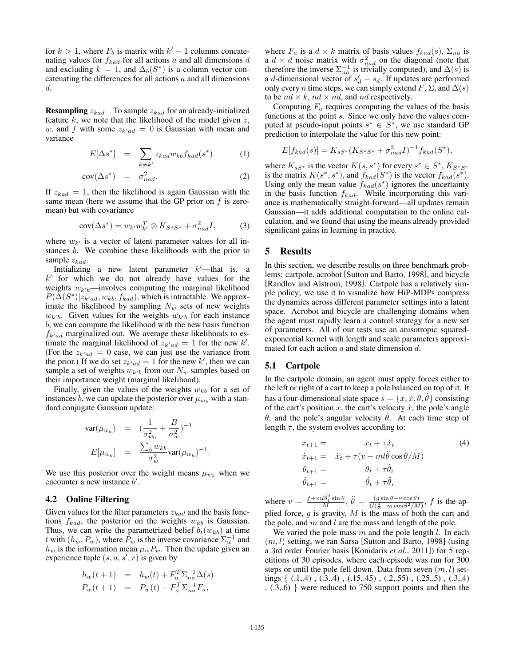for  $k > 1$ , where  $F_b$  is matrix with  $k' - 1$  columns concatenating values for *fkad* for all actions *a* and all dimensions *d* and excluding  $k = 1$ , and  $\Delta_b(S^*)$  is a column vector concatenating the differences for all actions *a* and all dimensions *d*.

Resampling *zkad* To sample *zkad* for an already-initialized feature *k*, we note that the likelihood of the model given *z*, *w*, and *f* with some  $z_{k'ad} = 0$  is Gaussian with mean and variance

$$
E[\Delta s^*] = \sum_{k \neq k'} z_{kad} w_{kb} f_{kad}(s^*)
$$
 (1)

$$
cov(\Delta s^*) = \sigma_{nad}^2.
$$
 (2)

If  $z_{kad} = 1$ , then the likelihood is again Gaussian with the same mean (here we assume that the GP prior on *f* is zeromean) but with covariance

$$
cov(\Delta s^*) = w_{k'}w_{k'}^T \otimes K_{S^*S^*} + \sigma_{nad}^2 I,
$$
 (3)

where  $w_{k}$  is a vector of latent parameter values for all instances *b*. We combine these likelihoods with the prior to sample *zkad*.

Initializing a new latent parameter  $k'$ —that is, a  $k'$  for which we do not already have values for the weights  $w_{k'b}$ —involves computing the marginal likelihood  $P(\Delta(S^*)|z_{k'ad}, w_{kb}, f_{kad})$ , which is intractable. We approximate the likelihood by sampling  $N_w$  sets of new weights  $w_{k'b}$ . Given values for the weights  $w_{k'b}$  for each instance *b*, we can compute the likelihood with the new basis function  $f_{k'ad}$  marginalized out. We average these likelihoods to estimate the marginal likelihood of  $z_{k'ad} = 1$  for the new  $k'$ . (For the  $z_{k'ad} = 0$  case, we can just use the variance from the prior.) If we do set  $z_{k'ad} = 1$  for the new  $k'$ , then we can sample a set of weights  $w_{k'b}$  from our  $N_w$  samples based on their importance weight (marginal likelihood).

Finally, given the values of the weights  $w_{kb}$  for a set of instances *b*, we can update the posterior over  $\mu_{w_k}$  with a standard conjugate Gaussian update:

$$
\operatorname{var}(\mu_{w_k}) = \left(\frac{1}{\sigma_{w_0}^2} + \frac{B}{\sigma_w^2}\right)^{-1}
$$

$$
E[\mu_{w_k}] = \frac{\sum_b w_{kb}}{\sigma_w^2} \operatorname{var}(\mu_{w_k})^{-1}.
$$

We use this posterior over the weight means  $\mu_{w_k}$  when we encounter a new instance  $b'$ .

#### 4.2 Online Filtering

Given values for the filter parameters *zkad* and the basis functions  $f_{kad}$ , the posterior on the weights  $w_{kb}$  is Gaussian. Thus, we can write the parametrized belief  $b_t(w_{kb})$  at time *t* with  $(h_w, P_w)$ , where  $P_w$  is the inverse covariance  $\Sigma_w^{-1}$  and  $h_w$  is the information mean  $\mu_w P_w$ . Then the update given an experience tuple  $(s, a, s', r)$  is given by

$$
h_w(t+1) = h_w(t) + F_a^T \Sigma_{na}^{-1} \Delta(s)
$$
  
\n
$$
P_w(t+1) = P_w(t) + F_a^T \Sigma_{na}^{-1} F_a,
$$

where  $F_a$  is a  $d \times k$  matrix of basis values  $f_{kad}(s)$ ,  $\Sigma_{na}$  is a  $d \times d$  noise matrix with  $\sigma_{nad}^2$  on the diagonal (note that therefore the inverse  $\Sigma_{na}^{-1}$  is trivially computed), and  $\Delta(s)$  is a *d*-dimensional vector of  $s_d' - s_d$ . If updates are performed only every *n* time steps, we can simply extend *F*,  $\Sigma$ , and  $\Delta(s)$ to be  $nd \times k$ ,  $nd \times nd$ , and  $nd$  respectively.

Computing  $F_a$  requires computing the values of the basis functions at the point *s*. Since we only have the values computed at pseudo-input points  $s^* \in S^*$ , we use standard GP prediction to interpolate the value for this new point:

$$
E[f_{kad}(s)] = K_{sS^*}(K_{S^*S^*} + \sigma_{nad}^2 I)^{-1} f_{kad}(S^*),
$$

where  $K_{sS^*}$  is the vector  $K(s, s^*)$  for every  $s^* \in S^*$ ,  $K_{S^*S^*}$ is the matrix  $K(s^*, s^*)$ , and  $f_{kad}(S^*)$  is the vector  $f_{kad}(s^*)$ . Using only the mean value  $f_{kad}(s^*)$  ignores the uncertainty in the basis function *fkad*. While incorporating this variance is mathematically straight-forward—all updates remain Gaussian—it adds additional computation to the online calculation, and we found that using the means already provided significant gains in learning in practice.

### 5 Results

In this section, we describe results on three benchmark problems: cartpole, acrobot [Sutton and Barto, 1998], and bicycle [Randlov and Alstrom, 1998]. Cartpole has a relatively simple policy; we use it to visualize how HiP-MDPs compress the dynamics across different parameter settings into a latent space. Acrobot and bicycle are challenging domains when the agent must rapidly learn a control strategy for a new set of parameters. All of our tests use an anisotropic squaredexponential kernel with length and scale parameters approximated for each action *a* and state dimension *d*.

#### 5.1 Cartpole

In the cartpole domain, an agent must apply forces either to the left or right of a cart to keep a pole balanced on top of it. It has a four-dimensional state space  $s = \{x, \dot{x}, \theta, \dot{\theta}\}$  consisting of the cart's position x, the cart's velocity  $\dot{x}$ , the pole's angle  $\theta$ , and the pole's angular velocity  $\dot{\theta}$ . At each time step of length  $\tau$ , the system evolves according to:

$$
x_{t+1} = x_t + \tau \dot{x}_t \tag{4}
$$
  
\n
$$
\dot{x}_{t+1} = \dot{x}_t + \tau (v - ml\ddot{\theta}\cos\theta/M)
$$
  
\n
$$
\theta_{t+1} = \theta_t + \tau \dot{\theta}_t
$$
  
\n
$$
\dot{\theta}_{t+1} = \dot{\theta}_t + \tau \ddot{\theta},
$$

where  $v = \frac{f + ml\dot{\theta}_t^2 \sin \theta}{M}, \ddot{\theta} = \frac{(g \sin \theta - v \cos \theta)}{(l(\frac{4}{3} - m \cos \theta^2/M)}, f$  is the applied force, *g* is gravity, *M* is the mass of both the cart and the pole, and *m* and *l* are the mass and length of the pole.

We varied the pole mass *m* and the pole length *l*. In each (*m, l*) setting, we ran Sarsa [Sutton and Barto, 1998] (using a 3rd order Fourier basis [Konidaris *et al.*, 2011]) for 5 repetitions of 30 episodes, where each episode was run for 300 steps or until the pole fell down. Data from seven (*m, l*) settings *{* (.1,.4) , (.3,.4) , (.15,.45) , (.2,.55) , (.25,.5) , (.3,.4) , (.3,.6) *}* were reduced to 750 support points and then the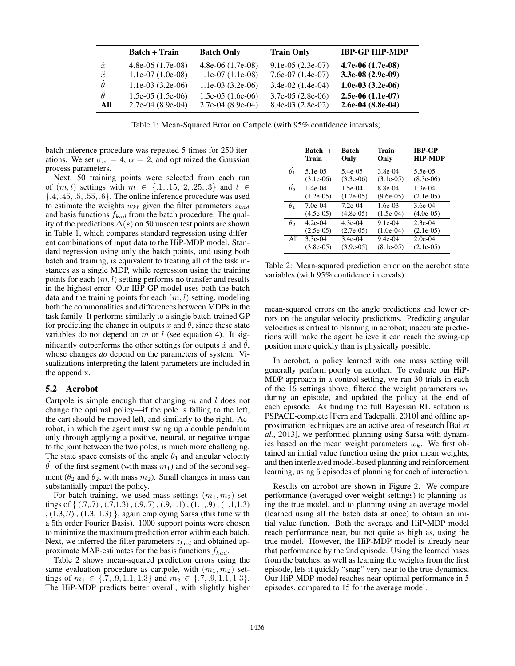|                 | <b>Batch + Train</b> | <b>Batch Only</b>   | <b>Train Only</b>  | <b>IBP-GP HIP-MDP</b> |
|-----------------|----------------------|---------------------|--------------------|-----------------------|
| $\dot{x}$       | $4.8e-06(1.7e-0.8)$  | $4.8e-06(1.7e-0.8)$ | $9.1e-05(2.3e-07)$ | $4.7e-06(1.7e-08)$    |
| $\ddot{x}$      | $1.1e-07(1.0e-08)$   | $1.1e-07(1.1e-08)$  | $7.6e-07(1.4e-07)$ | $3.3e-08(2.9e-0.9)$   |
|                 | $1.1e-03(3.2e-06)$   | $1.1e-03(3.2e-06)$  | $3.4e-02(1.4e-04)$ | 1.0e-03 $(3.2e-06)$   |
| $\ddot{\theta}$ | $1.5e-05(1.5e-06)$   | $1.5e-05(1.6e-06)$  | $3.7e-05(2.8e-06)$ | $2.5e-06(1.1e-07)$    |
| All             | $2.7e-04(8.9e-04)$   | $2.7e-04(8.9e-04)$  | $8.4e-03(2.8e-02)$ | $2.6e-04(8.8e-04)$    |

Table 1: Mean-Squared Error on Cartpole (with 95% confidence intervals).

batch inference procedure was repeated 5 times for 250 iterations. We set  $\sigma_w = 4$ ,  $\alpha = 2$ , and optimized the Gaussian process parameters.

Next, 50 training points were selected from each run of  $(m, l)$  settings with  $m \in \{.1, .15, .2, .25, .3\}$  and  $l \in$ *{.*4*, .*45*, .*5*, .*55*, .*6*}*. The online inference procedure was used to estimate the weights  $w_{kb}$  given the filter parameters  $z_{kad}$ and basis functions *fkad* from the batch procedure. The quality of the predictions  $\Delta(s)$  on 50 unseen test points are shown in Table 1, which compares standard regression using different combinations of input data to the HiP-MDP model. Standard regression using only the batch points, and using both batch and training, is equivalent to treating all of the task instances as a single MDP, while regression using the training points for each (*m, l*) setting performs no transfer and results in the highest error. Our IBP-GP model uses both the batch data and the training points for each (*m, l*) setting, modeling both the commonalities and differences between MDPs in the task family. It performs similarly to a single batch-trained GP for predicting the change in outputs  $x$  and  $\theta$ , since these state variables do not depend on *m* or *l* (see equation 4). It significantly outperforms the other settings for outputs  $\dot{x}$  and  $\dot{\theta}$ , whose changes *do* depend on the parameters of system. Visualizations interpreting the latent parameters are included in the appendix.

#### 5.2 Acrobot

Cartpole is simple enough that changing *m* and *l* does not change the optimal policy—if the pole is falling to the left, the cart should be moved left, and similarly to the right. Acrobot, in which the agent must swing up a double pendulum only through applying a positive, neutral, or negative torque to the joint between the two poles, is much more challenging. The state space consists of the angle  $\theta_1$  and angular velocity  $\dot{\theta_1}$  of the first segment (with mass  $m_1$ ) and of the second segment ( $\theta_2$  and  $\theta_2$ , with mass  $m_2$ ). Small changes in mass can substantially impact the policy.

For batch training, we used mass settings  $(m_1, m_2)$  settings of { (.7,.7), (.7,1.3), (.9,.7), (.9,1.1), (1.1,.9), (1.1,1.3) , (1.3,.7) , (1.3, 1.3) *}*, again employing Sarsa (this time with a 5th order Fourier Basis). 1000 support points were chosen to minimize the maximum prediction error within each batch. Next, we inferred the filter parameters *zkad* and obtained approximate MAP-estimates for the basis functions *fkad*.

Table 2 shows mean-squared prediction errors using the same evaluation procedure as cartpole, with  $(m_1, m_2)$  settings of  $m_1 \in \{7, .9, 1.1, 1.3\}$  and  $m_2 \in \{7, .9, 1.1, 1.3\}$ . The HiP-MDP predicts better overall, with slightly higher

|            | <b>Batch</b><br>$+$<br>Train | <b>Batch</b><br>Only | Train<br>Only | <b>IBP-GP</b><br><b>HIP-MDP</b> |
|------------|------------------------------|----------------------|---------------|---------------------------------|
| $\theta_1$ | $5.1e-0.5$                   | 5.4e-05              | $3.8e-04$     | 5.5e-05                         |
|            | $(3.1e-06)$                  | $(3.3e-06)$          | $(3.1e-05)$   | $(8.3e-06)$                     |
| $\theta_2$ | $1.4e-04$                    | $1.5e-04$            | 8.8e-04       | $1.3e-04$                       |
|            | $(1.2e-05)$                  | $(1.2e-05)$          | $(9.6e-05)$   | $(2.1e-05)$                     |
| $\theta_1$ | $7.0e-04$                    | $7.2e-04$            | $1.6e-03$     | $3.6e-04$                       |
|            | $(4.5e-05)$                  | $(4.8e-05)$          | $(1.5e-04)$   | $(4.0e-05)$                     |
| $\theta_2$ | $4.2e-04$                    | $4.3e-04$            | $9.1e-04$     | $2.3e-04$                       |
|            | $(2.5e-05)$                  | $(2.7e-0.5)$         | $(1.0e-04)$   | $(2.1e-05)$                     |
| All        | $3.3e-04$                    | $3.4e-04$            | $9.4e-04$     | $2.0e-04$                       |
|            | $(3.8e-05)$                  | $(3.9e-05)$          | $(8.1e-05)$   | $(2.1e-05)$                     |

Table 2: Mean-squared prediction error on the acrobot state variables (with 95% confidence intervals).

mean-squared errors on the angle predictions and lower errors on the angular velocity predictions. Predicting angular velocities is critical to planning in acrobot; inaccurate predictions will make the agent believe it can reach the swing-up position more quickly than is physically possible.

In acrobat, a policy learned with one mass setting will generally perform poorly on another. To evaluate our HiP-MDP approach in a control setting, we ran 30 trials in each of the 16 settings above, filtered the weight parameters  $w_k$ during an episode, and updated the policy at the end of each episode. As finding the full Bayesian RL solution is PSPACE-complete [Fern and Tadepalli, 2010] and offline approximation techniques are an active area of research [Bai *et al.*, 2013], we performed planning using Sarsa with dynamics based on the mean weight parameters *wk*. We first obtained an initial value function using the prior mean weights, and then interleaved model-based planning and reinforcement learning, using 5 episodes of planning for each of interaction.

Results on acrobot are shown in Figure 2. We compare performance (averaged over weight settings) to planning using the true model, and to planning using an average model (learned using all the batch data at once) to obtain an initial value function. Both the average and HiP-MDP model reach performance near, but not quite as high as, using the true model. However, the HiP-MDP model is already near that performance by the 2nd episode. Using the learned bases from the batches, as well as learning the weights from the first episode, lets it quickly "snap" very near to the true dynamics. Our HiP-MDP model reaches near-optimal performance in 5 episodes, compared to 15 for the average model.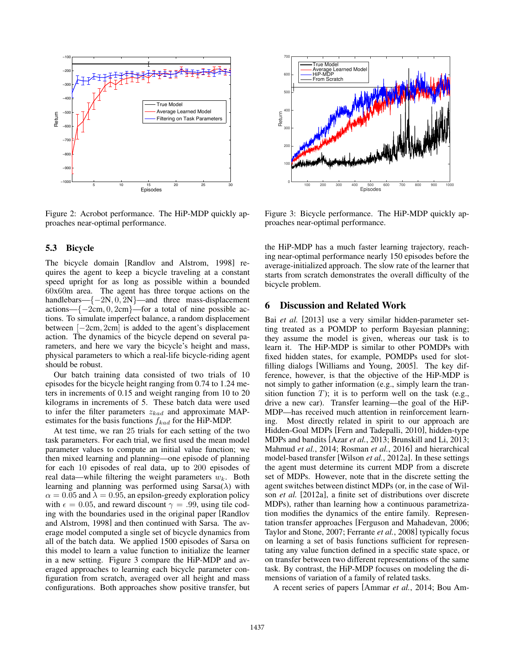

Figure 2: Acrobot performance. The HiP-MDP quickly approaches near-optimal performance.

#### 5.3 Bicycle

The bicycle domain [Randlov and Alstrom, 1998] requires the agent to keep a bicycle traveling at a constant speed upright for as long as possible within a bounded 60x60m area. The agent has three torque actions on the handlebars—*{*2N*,* 0*,* 2N*}*—and three mass-displacement actions— $\{-2cm, 0, 2cm\}$ —for a total of nine possible actions. To simulate imperfect balance, a random displacement between  $[-2cm, 2cm]$  is added to the agent's displacement action. The dynamics of the bicycle depend on several parameters, and here we vary the bicycle's height and mass, physical parameters to which a real-life bicycle-riding agent should be robust.

Our batch training data consisted of two trials of 10 episodes for the bicycle height ranging from 0.74 to 1.24 meters in increments of 0.15 and weight ranging from 10 to 20 kilograms in increments of 5. These batch data were used to infer the filter parameters *zkad* and approximate MAPestimates for the basis functions *fkad* for the HiP-MDP.

At test time, we ran 25 trials for each setting of the two task parameters. For each trial, we first used the mean model parameter values to compute an initial value function; we then mixed learning and planning—one episode of planning for each 10 episodes of real data, up to 200 episodes of real data—while filtering the weight parameters *wk*. Both learning and planning was performed using  $Sarsa(\lambda)$  with  $\alpha = 0.05$  and  $\lambda = 0.95$ , an epsilon-greedy exploration policy with  $\epsilon = 0.05$ , and reward discount  $\gamma = .99$ , using tile coding with the boundaries used in the original paper [Randlov and Alstrom, 1998] and then continued with Sarsa. The average model computed a single set of bicycle dynamics from all of the batch data. We applied 1500 episodes of Sarsa on this model to learn a value function to initialize the learner in a new setting. Figure 3 compare the HiP-MDP and averaged approaches to learning each bicycle parameter configuration from scratch, averaged over all height and mass configurations. Both approaches show positive transfer, but



Figure 3: Bicycle performance. The HiP-MDP quickly approaches near-optimal performance.

the HiP-MDP has a much faster learning trajectory, reaching near-optimal performance nearly 150 episodes before the average-initialized approach. The slow rate of the learner that starts from scratch demonstrates the overall difficulty of the bicycle problem.

### 6 Discussion and Related Work

Bai *et al.* [2013] use a very similar hidden-parameter setting treated as a POMDP to perform Bayesian planning; they assume the model is given, whereas our task is to learn it. The HiP-MDP is similar to other POMDPs with fixed hidden states, for example, POMDPs used for slotfilling dialogs [Williams and Young, 2005]. The key difference, however, is that the objective of the HiP-MDP is not simply to gather information (e.g., simply learn the transition function  $T$ ); it is to perform well on the task (e.g., drive a new car). Transfer learning—the goal of the HiP-MDP—has received much attention in reinforcement learning. Most directly related in spirit to our approach are Hidden-Goal MDPs [Fern and Tadepalli, 2010], hidden-type MDPs and bandits [Azar *et al.*, 2013; Brunskill and Li, 2013; Mahmud *et al.*, 2014; Rosman *et al.*, 2016] and hierarchical model-based transfer [Wilson *et al.*, 2012a]. In these settings the agent must determine its current MDP from a discrete set of MDPs. However, note that in the discrete setting the agent switches between distinct MDPs (or, in the case of Wilson *et al.* [2012a], a finite set of distributions over discrete MDPs), rather than learning how a continuous parametrization modifies the dynamics of the entire family. Representation transfer approaches [Ferguson and Mahadevan, 2006; Taylor and Stone, 2007; Ferrante *et al.*, 2008] typically focus on learning a set of basis functions sufficient for representating any value function defined in a specific state space, or on transfer between two different representations of the same task. By contrast, the HiP-MDP focuses on modeling the dimensions of variation of a family of related tasks.

A recent series of papers [Ammar *et al.*, 2014; Bou Am-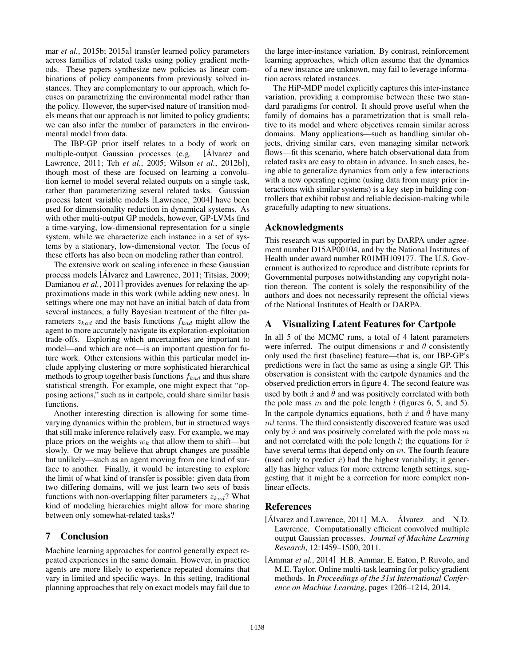mar *et al.*, 2015b; 2015a] transfer learned policy parameters across families of related tasks using policy gradient methods. These papers synthesize new policies as linear combinations of policy components from previously solved instances. They are complementary to our approach, which focuses on parametrizing the environmental model rather than the policy. However, the supervised nature of transition models means that our approach is not limited to policy gradients; we can also infer the number of parameters in the environmental model from data.

The IBP-GP prior itself relates to a body of work on multiple-output Gaussian processes (e.g. [Alvarez and ´ Lawrence, 2011; Teh *et al.*, 2005; Wilson *et al.*, 2012b]), though most of these are focused on learning a convolution kernel to model several related outputs on a single task, rather than parameterizing several related tasks. Gaussian process latent variable models [Lawrence, 2004] have been used for dimensionality reduction in dynamical systems. As with other multi-output GP models, however, GP-LVMs find a time-varying, low-dimensional representation for a single system, while we characterize each instance in a set of systems by a stationary, low-dimensional vector. The focus of these efforts has also been on modeling rather than control.

The extensive work on scaling inference in these Gaussian process models [Alvarez and Lawrence, 2011; Titsias, 2009; Damianou *et al.*, 2011] provides avenues for relaxing the approximations made in this work (while adding new ones). In settings where one may not have an initial batch of data from several instances, a fully Bayesian treatment of the filter parameters *zkad* and the basis functions *fkad* might allow the agent to more accurately navigate its exploration-exploitation trade-offs. Exploring which uncertainties are important to model—and which are not—is an important question for future work. Other extensions within this particular model include applying clustering or more sophisticated hierarchical methods to group together basis functions *fkad* and thus share statistical strength. For example, one might expect that "opposing actions," such as in cartpole, could share similar basis functions.

Another interesting direction is allowing for some timevarying dynamics within the problem, but in structured ways that still make inference relatively easy. For example, we may place priors on the weights  $w_k$  that allow them to shift—but slowly. Or we may believe that abrupt changes are possible but unlikely—such as an agent moving from one kind of surface to another. Finally, it would be interesting to explore the limit of what kind of transfer is possible: given data from two differing domains, will we just learn two sets of basis functions with non-overlapping filter parameters *zkad*? What kind of modeling hierarchies might allow for more sharing between only somewhat-related tasks?

### 7 Conclusion

Machine learning approaches for control generally expect repeated experiences in the same domain. However, in practice agents are more likely to experience repeated domains that vary in limited and specific ways. In this setting, traditional planning approaches that rely on exact models may fail due to the large inter-instance variation. By contrast, reinforcement learning approaches, which often assume that the dynamics of a new instance are unknown, may fail to leverage information across related instances.

The HiP-MDP model explicitly captures this inter-instance variation, providing a compromise between these two standard paradigms for control. It should prove useful when the family of domains has a parametrization that is small relative to its model and where objectives remain similar across domains. Many applications—such as handling similar objects, driving similar cars, even managing similar network flows—fit this scenario, where batch observational data from related tasks are easy to obtain in advance. In such cases, being able to generalize dynamics from only a few interactions with a new operating regime (using data from many prior interactions with similar systems) is a key step in building controllers that exhibit robust and reliable decision-making while gracefully adapting to new situations.

### Acknowledgments

This research was supported in part by DARPA under agreement number D15AP00104, and by the National Institutes of Health under award number R01MH109177. The U.S. Government is authorized to reproduce and distribute reprints for Governmental purposes notwithstanding any copyright notation thereon. The content is solely the responsibility of the authors and does not necessarily represent the official views of the National Institutes of Health or DARPA.

## A Visualizing Latent Features for Cartpole

In all 5 of the MCMC runs, a total of 4 latent parameters were inferred. The output dimensions  $x$  and  $\theta$  consistently only used the first (baseline) feature—that is, our IBP-GP's predictions were in fact the same as using a single GP. This observation is consistent with the cartpole dynamics and the observed prediction errors in figure 4. The second feature was used by both  $\dot{x}$  and  $\dot{\theta}$  and was positively correlated with both the pole mass *m* and the pole length *l* (figures 6, 5, and 5). In the cartpole dynamics equations, both  $\dot{x}$  and  $\dot{\theta}$  have many *ml* terms. The third consistently discovered feature was used only by *x*˙ and was positively correlated with the pole mass *m* and not correlated with the pole length  $l$ ; the equations for  $\dot{x}$ have several terms that depend only on *m*. The fourth feature (used only to predict  $\dot{x}$ ) had the highest variability; it generally has higher values for more extreme length settings, suggesting that it might be a correction for more complex nonlinear effects.

### References

- $[\text{Álvarez} \text{ and Lawrence}, 2011] \text{ M.A.} \text{ Álvarez} \text{ and } \text{N.D.}$ Lawrence. Computationally efficient convolved multiple output Gaussian processes. *Journal of Machine Learning Research*, 12:1459–1500, 2011.
- [Ammar *et al.*, 2014] H.B. Ammar, E. Eaton, P. Ruvolo, and M.E. Taylor. Online multi-task learning for policy gradient methods. In *Proceedings of the 31st International Conference on Machine Learning*, pages 1206–1214, 2014.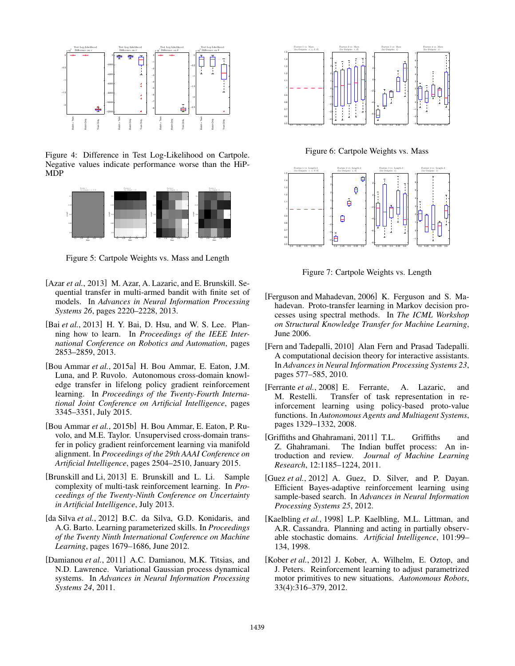

Figure 4: Difference in Test Log-Likelihood on Cartpole. Negative values indicate performance worse than the HiP-MDP



Figure 5: Cartpole Weights vs. Mass and Length

- [Azar *et al.*, 2013] M. Azar, A. Lazaric, and E. Brunskill. Sequential transfer in multi-armed bandit with finite set of models. In *Advances in Neural Information Processing Systems 26*, pages 2220–2228, 2013.
- [Bai *et al.*, 2013] H. Y. Bai, D. Hsu, and W. S. Lee. Planning how to learn. In *Proceedings of the IEEE International Conference on Robotics and Automation*, pages 2853–2859, 2013.
- [Bou Ammar *et al.*, 2015a] H. Bou Ammar, E. Eaton, J.M. Luna, and P. Ruvolo. Autonomous cross-domain knowledge transfer in lifelong policy gradient reinforcement learning. In *Proceedings of the Twenty-Fourth International Joint Conference on Artificial Intelligence*, pages 3345–3351, July 2015.
- [Bou Ammar *et al.*, 2015b] H. Bou Ammar, E. Eaton, P. Ruvolo, and M.E. Taylor. Unsupervised cross-domain transfer in policy gradient reinforcement learning via manifold alignment. In *Proceedings of the 29th AAAI Conference on Artificial Intelligence*, pages 2504–2510, January 2015.
- [Brunskill and Li, 2013] E. Brunskill and L. Li. Sample complexity of multi-task reinforcement learning. In *Proceedings of the Twenty-Ninth Conference on Uncertainty in Artificial Intelligence*, July 2013.
- [da Silva *et al.*, 2012] B.C. da Silva, G.D. Konidaris, and A.G. Barto. Learning parameterized skills. In *Proceedings of the Twenty Ninth International Conference on Machine Learning*, pages 1679–1686, June 2012.
- [Damianou *et al.*, 2011] A.C. Damianou, M.K. Titsias, and N.D. Lawrence. Variational Gaussian process dynamical systems. In *Advances in Neural Information Processing Systems 24*, 2011.



Figure 6: Cartpole Weights vs. Mass



Figure 7: Cartpole Weights vs. Length

- [Ferguson and Mahadevan, 2006] K. Ferguson and S. Mahadevan. Proto-transfer learning in Markov decision processes using spectral methods. In *The ICML Workshop on Structural Knowledge Transfer for Machine Learning*, June 2006.
- [Fern and Tadepalli, 2010] Alan Fern and Prasad Tadepalli. A computational decision theory for interactive assistants. In *Advances in Neural Information Processing Systems 23*, pages 577–585, 2010.
- [Ferrante *et al.*, 2008] E. Ferrante, A. Lazaric, and M. Restelli. Transfer of task representation in reinforcement learning using policy-based proto-value functions. In *Autonomous Agents and Multiagent Systems*, pages 1329–1332, 2008.
- [Griffiths and Ghahramani, 2011] T.L. Griffiths and Z. Ghahramani. The Indian buffet process: An introduction and review. *Journal of Machine Learning Research*, 12:1185–1224, 2011.
- [Guez *et al.*, 2012] A. Guez, D. Silver, and P. Dayan. Efficient Bayes-adaptive reinforcement learning using sample-based search. In *Advances in Neural Information Processing Systems 25*, 2012.
- [Kaelbling *et al.*, 1998] L.P. Kaelbling, M.L. Littman, and A.R. Cassandra. Planning and acting in partially observable stochastic domains. *Artificial Intelligence*, 101:99– 134, 1998.
- [Kober *et al.*, 2012] J. Kober, A. Wilhelm, E. Oztop, and J. Peters. Reinforcement learning to adjust parametrized motor primitives to new situations. *Autonomous Robots*, 33(4):316–379, 2012.